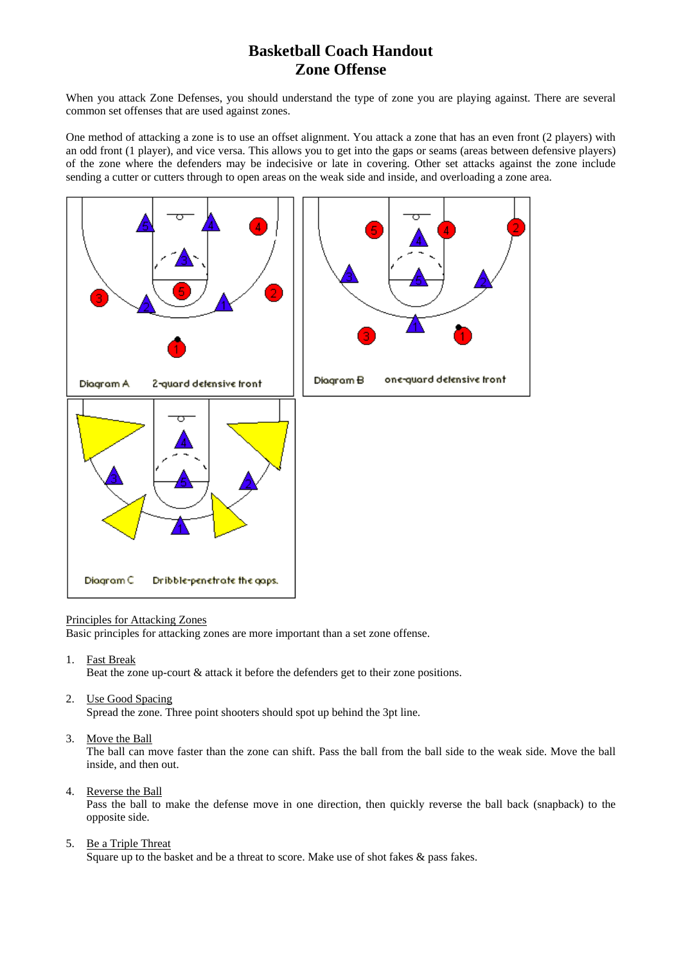# **Basketball Coach Handout Zone Offense**

When you attack Zone Defenses, you should understand the type of zone you are playing against. There are several common set offenses that are used against zones.

One method of attacking a zone is to use an offset alignment. You attack a zone that has an even front (2 players) with an odd front (1 player), and vice versa. This allows you to get into the gaps or seams (areas between defensive players) of the zone where the defenders may be indecisive or late in covering. Other set attacks against the zone include sending a cutter or cutters through to open areas on the weak side and inside, and overloading a zone area.



#### Principles for Attacking Zones

Basic principles for attacking zones are more important than a set zone offense.

1. Fast Break

Beat the zone up-court & attack it before the defenders get to their zone positions.

2. Use Good Spacing

Spread the zone. Three point shooters should spot up behind the 3pt line.

3. Move the Ball

The ball can move faster than the zone can shift. Pass the ball from the ball side to the weak side. Move the ball inside, and then out.

4. Reverse the Ball

Pass the ball to make the defense move in one direction, then quickly reverse the ball back (snapback) to the opposite side.

5. Be a Triple Threat

Square up to the basket and be a threat to score. Make use of shot fakes & pass fakes.